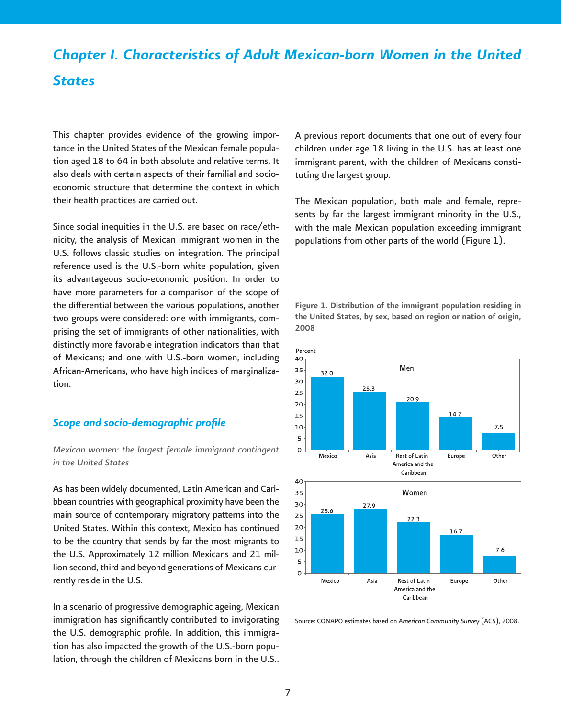# *Chapter I. Characteristics of Adult Mexican-born Women in the United States*

This chapter provides evidence of the growing importance in the United States of the Mexican female population aged 18 to 64 in both absolute and relative terms. It also deals with certain aspects of their familial and socioeconomic structure that determine the context in which their health practices are carried out.

Since social inequities in the U.S. are based on race/ethnicity, the analysis of Mexican immigrant women in the U.S. follows classic studies on integration. The principal reference used is the U.S.-born white population, given its advantageous socio-economic position. In order to have more parameters for a comparison of the scope of the differential between the various populations, another two groups were considered: one with immigrants, comprising the set of immigrants of other nationalities, with distinctly more favorable integration indicators than that of Mexicans; and one with U.S.-born women, including African-Americans, who have high indices of marginalization.

## **Scope and socio-demographic profile**

# *Mexican women: the largest female immigrant contingent in the United States*

As has been widely documented, Latin American and Caribbean countries with geographical proximity have been the main source of contemporary migratory patterns into the United States. Within this context, Mexico has continued to be the country that sends by far the most migrants to the U.S. Approximately 12 million Mexicans and 21 million second, third and beyond generations of Mexicans currently reside in the U.S.

In a scenario of progressive demographic ageing, Mexican immigration has significantly contributed to invigorating the U.S. demographic profile. In addition, this immigration has also impacted the growth of the U.S.-born population, through the children of Mexicans born in the U.S..

A previous report documents that one out of every four children under age 18 living in the U.S. has at least one immigrant parent, with the children of Mexicans constituting the largest group.

The Mexican population, both male and female, represents by far the largest immigrant minority in the U.S., with the male Mexican population exceeding immigrant populations from other parts of the world (Figure 1).

Figure 1. Distribution of the immigrant population residing in the United States, by sex, based on region or nation of origin, 2008



Source: CONAPO estimates based on *American Community Survey* (ACS), 2008.

America and the Caribbean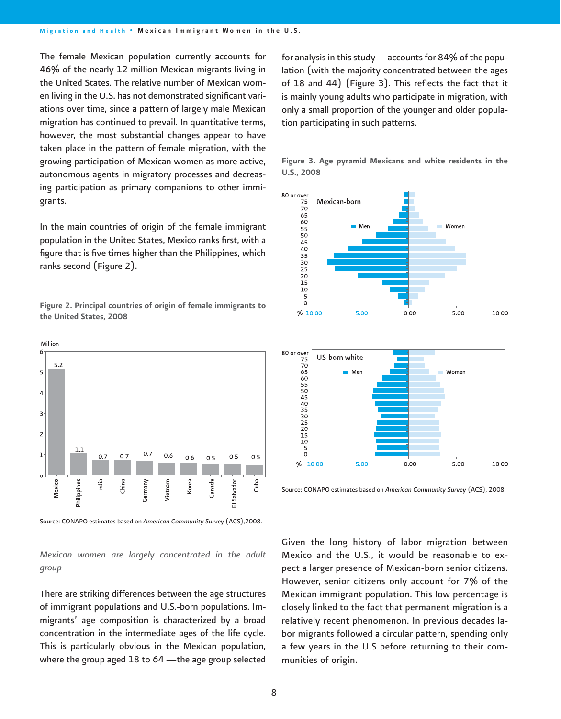The female Mexican population currently accounts for 46% of the nearly 12 million Mexican migrants living in the United States. The relative number of Mexican women living in the U.S. has not demonstrated significant variations over time, since a pattern of largely male Mexican migration has continued to prevail. In quantitative terms, however, the most substantial changes appear to have taken place in the pattern of female migration, with the growing participation of Mexican women as more active, autonomous agents in migratory processes and decreasing participation as primary companions to other immigrants.

In the main countries of origin of the female immigrant population in the United States, Mexico ranks first, with a figure that is five times higher than the Philippines, which ranks second (Figure 2).

Figure 2. Principal countries of origin of female immigrants to the United States, 2008



Source: CONAPO estimates based on *American Community Survey* (ACS),2008.

*Mexican women are largely concentrated in the adult group*

There are striking differences between the age structures of immigrant populations and U.S.-born populations. Immigrants' age composition is characterized by a broad concentration in the intermediate ages of the life cycle. This is particularly obvious in the Mexican population, where the group aged 18 to 64 —the age group selected

for analysis in this study— accounts for 84% of the population (with the majority concentrated between the ages of 18 and 44) (Figure 3). This reflects the fact that it is mainly young adults who participate in migration, with only a small proportion of the younger and older population participating in such patterns.







Source: CONAPO estimates based on *American Community Survey* (ACS), 2008.

Given the long history of labor migration between Mexico and the U.S., it would be reasonable to expect a larger presence of Mexican-born senior citizens. However, senior citizens only account for 7% of the Mexican immigrant population. This low percentage is closely linked to the fact that permanent migration is a relatively recent phenomenon. In previous decades labor migrants followed a circular pattern, spending only a few years in the U.S before returning to their communities of origin.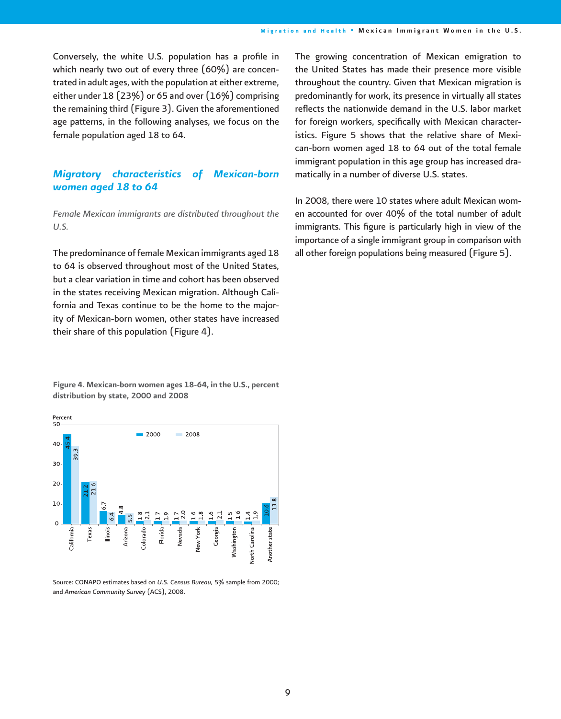Conversely, the white U.S. population has a profile in which nearly two out of every three (60%) are concentrated in adult ages, with the population at either extreme, either under 18 (23%) or 65 and over (16%) comprising the remaining third (Figure 3). Given the aforementioned age patterns, in the following analyses, we focus on the female population aged 18 to 64.

# *Migratory characteristics of Mexican-born women aged 18 to 64*

*Female Mexican immigrants are distributed throughout the U.S.* 

The predominance of female Mexican immigrants aged 18 to 64 is observed throughout most of the United States, but a clear variation in time and cohort has been observed in the states receiving Mexican migration. Although California and Texas continue to be the home to the majority of Mexican-born women, other states have increased their share of this population (Figure 4).

Figure 4. Mexican-born women ages 18-64, in the U.S., percent distribution by state, 2000 and 2008



Source: CONAPO estimates based on *U.S. Census Bureau,* 5% sample from 2000; and *American Community Survey* (ACS), 2008.

The growing concentration of Mexican emigration to the United States has made their presence more visible throughout the country. Given that Mexican migration is predominantly for work, its presence in virtually all states reflects the nationwide demand in the U.S. labor market for foreign workers, specifically with Mexican characteristics. Figure 5 shows that the relative share of Mexican-born women aged 18 to 64 out of the total female immigrant population in this age group has increased dramatically in a number of diverse U.S. states.

In 2008, there were 10 states where adult Mexican women accounted for over 40% of the total number of adult immigrants. This figure is particularly high in view of the importance of a single immigrant group in comparison with all other foreign populations being measured (Figure 5).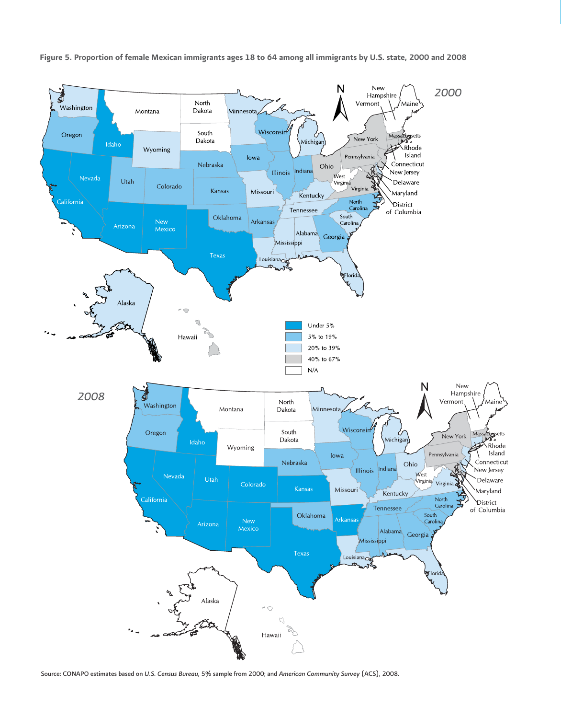

Figure 5. Proportion of female Mexican immigrants ages 18 to 64 among all immigrants by U.S. state, 2000 and 2008

Source: CONAPO estimates based on *U.S. Census Bureau,* 5% sample from 2000; and *American Community Survey* (ACS), 2008.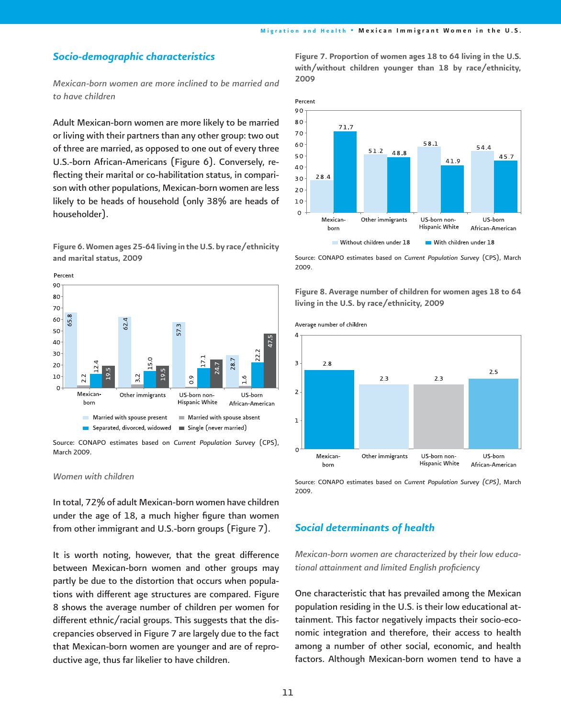# *Socio-demographic characteristics*

*Mexican-born women are more inclined to be married and to have children* 

Adult Mexican-born women are more likely to be married or living with their partners than any other group: two out of three are married, as opposed to one out of every three U.S.-born African-Americans (Figure 6). Conversely, reflecting their marital or co-habilitation status, in comparison with other populations, Mexican-born women are less likely to be heads of household (only 38% are heads of householder).

Figure 6. Women ages 25-64 living in the U.S. by race/ethnicity and marital status, 2009



Source: CONAPO estimates based on *Current Population Survey* (CPS), March 2009.

#### *Women with children*

In total, 72% of adult Mexican-born women have children under the age of 18, a much higher figure than women from other immigrant and U.S.-born groups (Figure 7).

It is worth noting, however, that the great difference between Mexican-born women and other groups may partly be due to the distortion that occurs when populations with different age structures are compared. Figure 8 shows the average number of children per women for different ethnic/racial groups. This suggests that the discrepancies observed in Figure 7 are largely due to the fact that Mexican-born women are younger and are of reproductive age, thus far likelier to have children.

Figure 7. Proportion of women ages 18 to 64 living in the U.S. with/without children younger than 18 by race/ethnicity, 2009



Source: CONAPO estimates based on *Current Population Survey* (CPS), March 2009.

Figure 8. Average number of children for women ages 18 to 64 living in the U.S. by race/ethnicity, 2009



Source: CONAPO estimates based on *Current Population Survey (CPS)*, March 2009.

### *Social determinants of health*

*Mexican-born women are characterized by their low educational attainment and limited English profi ciency*

One characteristic that has prevailed among the Mexican population residing in the U.S. is their low educational attainment. This factor negatively impacts their socio-economic integration and therefore, their access to health among a number of other social, economic, and health factors. Although Mexican-born women tend to have a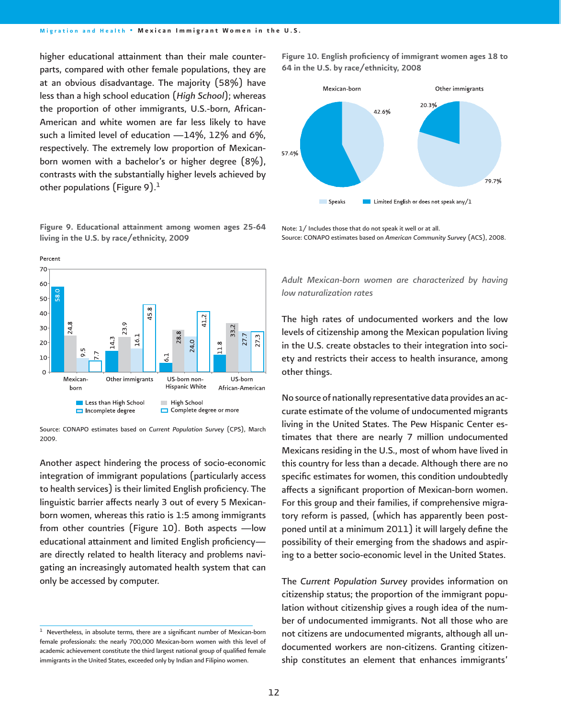higher educational attainment than their male counterparts, compared with other female populations, they are at an obvious disadvantage. The majority (58%) have less than a high school education (*High School*); whereas the proportion of other immigrants, U.S.-born, African-American and white women are far less likely to have such a limited level of education —14%, 12% and 6%, respectively. The extremely low proportion of Mexicanborn women with a bachelor's or higher degree (8%), contrasts with the substantially higher levels achieved by other populations (Figure 9). $<sup>1</sup>$ </sup>

Figure 9. Educational attainment among women ages 25-64 living in the U.S. by race/ethnicity, 2009



Source: CONAPO estimates based on *Current Population Survey* (CPS), March 2009.

Another aspect hindering the process of socio-economic integration of immigrant populations (particularly access to health services) is their limited English proficiency. The linguistic barrier affects nearly 3 out of every 5 Mexicanborn women, whereas this ratio is 1:5 among immigrants from other countries (Figure 10). Both aspects —low educational attainment and limited English proficiencyare directly related to health literacy and problems navigating an increasingly automated health system that can only be accessed by computer.

Figure 10. English proficiency of immigrant women ages 18 to 64 in the U.S. by race/ethnicity, 2008



Note: 1/ Includes those that do not speak it well or at all. Source: CONAPO estimates based on *American Community Survey* (ACS), 2008.

## *Adult Mexican-born women are characterized by having low naturalization rates*

The high rates of undocumented workers and the low levels of citizenship among the Mexican population living in the U.S. create obstacles to their integration into society and restricts their access to health insurance, among other things.

No source of nationally representative data provides an accurate estimate of the volume of undocumented migrants living in the United States. The Pew Hispanic Center estimates that there are nearly 7 million undocumented Mexicans residing in the U.S., most of whom have lived in this country for less than a decade. Although there are no specific estimates for women, this condition undoubtedly affects a significant proportion of Mexican-born women. For this group and their families, if comprehensive migratory reform is passed, (which has apparently been postponed until at a minimum 2011) it will largely define the possibility of their emerging from the shadows and aspiring to a better socio-economic level in the United States.

The *Current Population Survey* provides information on citizenship status; the proportion of the immigrant population without citizenship gives a rough idea of the number of undocumented immigrants. Not all those who are not citizens are undocumented migrants, although all undocumented workers are non-citizens. Granting citizenship constitutes an element that enhances immigrants'

 $1$  Nevertheless, in absolute terms, there are a significant number of Mexican-born female professionals: the nearly 700,000 Mexican-born women with this level of academic achievement constitute the third largest national group of qualified female immigrants in the United States, exceeded only by Indian and Filipino women.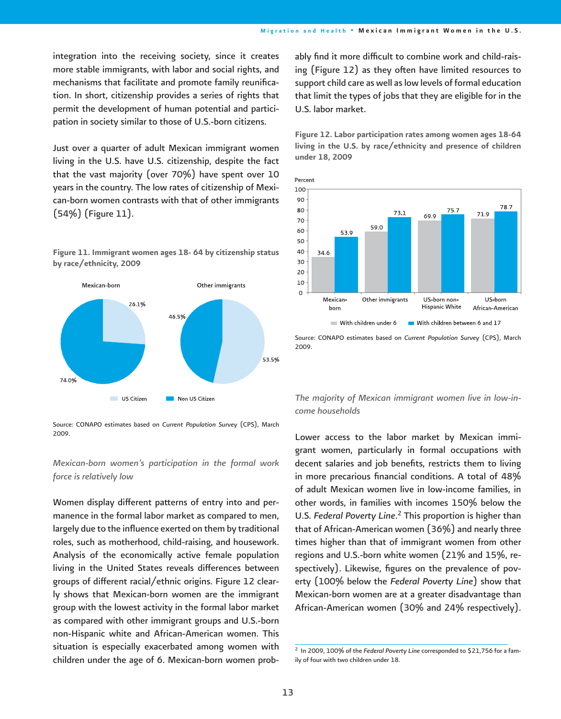integration into the receiving society, since it creates more stable immigrants, with labor and social rights, and mechanisms that facilitate and promote family reunification. In short, citizenship provides a series of rights that permit the development of human potential and participation in society similar to those of U.S.-born citizens.

Just over a quarter of adult Mexican immigrant women living in the U.S. have U.S. citizenship, despite the fact that the vast majority (over 70%) have spent over 10 years in the country. The low rates of citizenship of Mexican-born women contrasts with that of other immigrants (54%) (Figure 11).





Source: CONAPO estimates based on *Current Population Survey* (CPS), March 2009.

## *Mexican-born women's participation in the formal work force is relatively low*

Women display different patterns of entry into and permanence in the formal labor market as compared to men, largely due to the influence exerted on them by traditional roles, such as motherhood, child-raising, and housework. Analysis of the economically active female population living in the United States reveals differences between groups of different racial/ethnic origins. Figure 12 clearly shows that Mexican-born women are the immigrant group with the lowest activity in the formal labor market as compared with other immigrant groups and U.S.-born non-Hispanic white and African-American women. This situation is especially exacerbated among women with children under the age of 6. Mexican-born women probably find it more difficult to combine work and child-raising (Figure 12) as they often have limited resources to support child care as well as low levels of formal education that limit the types of jobs that they are eligible for in the U.S. labor market.

Figure 12. Labor participation rates among women ages 18-64 living in the U.S. by race/ethnicity and presence of children under 18, 2009



Source: CONAPO estimates based on *Current Population Survey* (CPS), March 2009.

# *The majority of Mexican immigrant women live in low-income households*

Lower access to the labor market by Mexican immigrant women, particularly in formal occupations with decent salaries and job benefits, restricts them to living in more precarious financial conditions. A total of  $48\%$ of adult Mexican women live in low-income families, in other words, in families with incomes 150% below the U.S. *Federal Poverty Line*. 2 This proportion is higher than that of African-American women (36%) and nearly three times higher than that of immigrant women from other regions and U.S.-born white women (21% and 15%, respectively). Likewise, figures on the prevalence of poverty (100% below the *Federal Poverty Line*) show that Mexican-born women are at a greater disadvantage than African-American women (30% and 24% respectively).

<sup>&</sup>lt;sup>2</sup> In 2009, 100% of the *Federal Poverty Line* corresponded to \$21,756 for a family of four with two children under 18.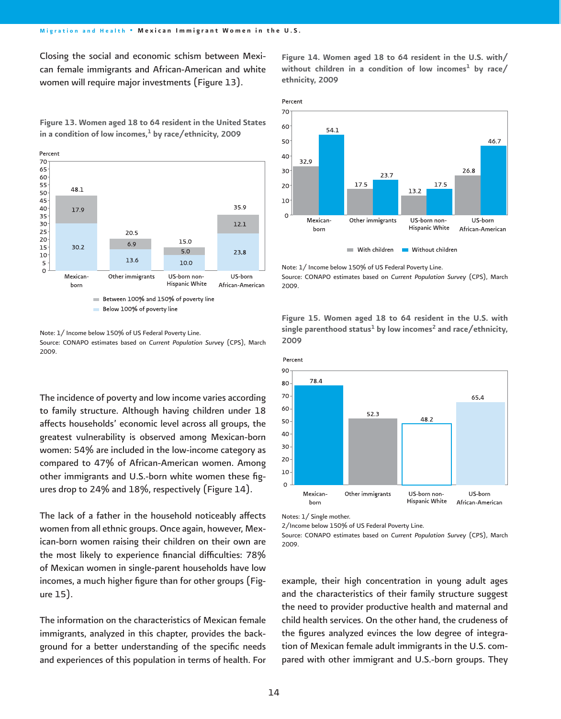Closing the social and economic schism between Mexican female immigrants and African-American and white women will require major investments (Figure 13).

Figure 14. Women aged 18 to 64 resident in the U.S. with/ without children in a condition of low incomes<sup>1</sup> by race/ ethnicity, 2009





Note: 1/ Income below 150% of US Federal Poverty Line. Source: CONAPO estimates based on *Current Population Survey* (CPS), March 2009.

The incidence of poverty and low income varies according to family structure. Although having children under 18 affects households' economic level across all groups, the greatest vulnerability is observed among Mexican-born women: 54% are included in the low-income category as compared to 47% of African-American women. Among other immigrants and U.S.-born white women these figures drop to 24% and 18%, respectively (Figure 14).

The lack of a father in the household noticeably affects women from all ethnic groups. Once again, however, Mexican-born women raising their children on their own are the most likely to experience financial difficulties: 78% of Mexican women in single-parent households have low incomes, a much higher figure than for other groups (Figure 15).

The information on the characteristics of Mexican female immigrants, analyzed in this chapter, provides the background for a better understanding of the specific needs and experiences of this population in terms of health. For



Note: 1/ Income below 150% of US Federal Poverty Line.

Source: CONAPO estimates based on *Current Population Survey* (CPS), March 2009.

Figure 15. Women aged 18 to 64 resident in the U.S. with single parenthood status<sup>1</sup> by low incomes<sup>2</sup> and race/ethnicity, 2009





2/Income below 150% of US Federal Poverty Line.

Source: CONAPO estimates based on *Current Population Survey* (CPS), March 2009.

example, their high concentration in young adult ages and the characteristics of their family structure suggest the need to provider productive health and maternal and child health services. On the other hand, the crudeness of the figures analyzed evinces the low degree of integration of Mexican female adult immigrants in the U.S. compared with other immigrant and U.S.-born groups. They